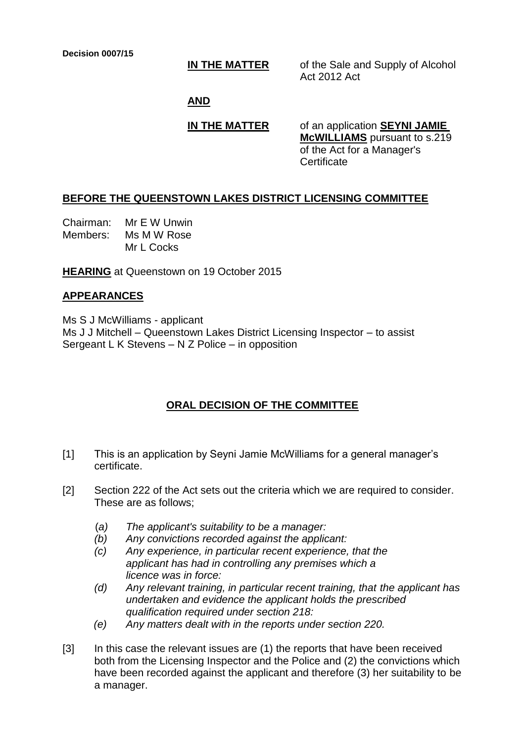**IN THE MATTER** of the Sale and Supply of Alcohol Act 2012 Act

#### **AND**

## **IN THE MATTER** of an application **SEYNI JAMIE**

**McWILLIAMS** pursuant to s.219 of the Act for a Manager's **Certificate** 

### **BEFORE THE QUEENSTOWN LAKES DISTRICT LICENSING COMMITTEE**

Chairman: Mr E W Unwin Members: Ms M W Rose Mr L Cocks

**HEARING** at Queenstown on 19 October 2015

# **APPEARANCES**

Ms S J McWilliams - applicant Ms J J Mitchell – Queenstown Lakes District Licensing Inspector – to assist Sergeant L K Stevens – N Z Police – in opposition

# **ORAL DECISION OF THE COMMITTEE**

- [1] This is an application by Seyni Jamie McWilliams for a general manager's certificate.
- [2] Section 222 of the Act sets out the criteria which we are required to consider. These are as follows;
	- (*a) The applicant's suitability to be a manager:*
	- *(b) Any convictions recorded against the applicant:*
	- *(c) Any experience, in particular recent experience, that the applicant has had in controlling any premises which a licence was in force:*
	- *(d) Any relevant training, in particular recent training, that the applicant has undertaken and evidence the applicant holds the prescribed qualification required under section 218:*
	- *(e) Any matters dealt with in the reports under section 220.*
- [3] In this case the relevant issues are (1) the reports that have been received both from the Licensing Inspector and the Police and (2) the convictions which have been recorded against the applicant and therefore (3) her suitability to be a manager.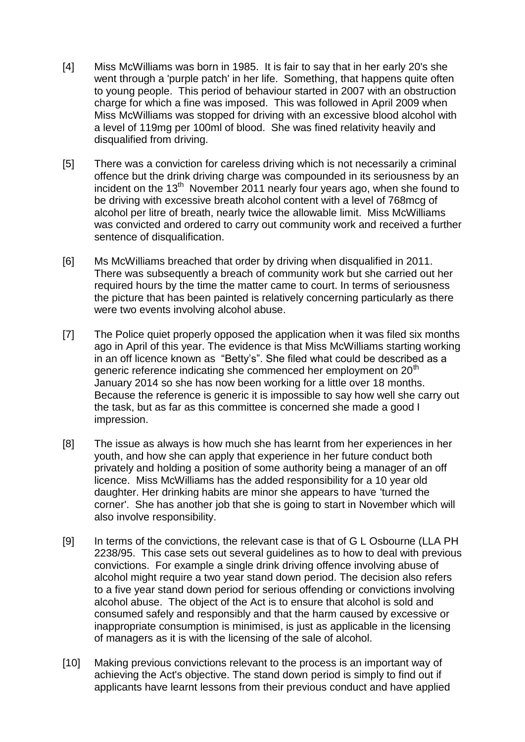- [4] Miss McWilliams was born in 1985. It is fair to say that in her early 20's she went through a 'purple patch' in her life. Something, that happens quite often to young people. This period of behaviour started in 2007 with an obstruction charge for which a fine was imposed. This was followed in April 2009 when Miss McWilliams was stopped for driving with an excessive blood alcohol with a level of 119mg per 100ml of blood. She was fined relativity heavily and disqualified from driving.
- [5] There was a conviction for careless driving which is not necessarily a criminal offence but the drink driving charge was compounded in its seriousness by an incident on the  $13<sup>th</sup>$  November 2011 nearly four years ago, when she found to be driving with excessive breath alcohol content with a level of 768mcg of alcohol per litre of breath, nearly twice the allowable limit. Miss McWilliams was convicted and ordered to carry out community work and received a further sentence of disqualification.
- [6] Ms McWilliams breached that order by driving when disqualified in 2011. There was subsequently a breach of community work but she carried out her required hours by the time the matter came to court. In terms of seriousness the picture that has been painted is relatively concerning particularly as there were two events involving alcohol abuse.
- [7] The Police quiet properly opposed the application when it was filed six months ago in April of this year. The evidence is that Miss McWilliams starting working in an off licence known as "Betty's". She filed what could be described as a generic reference indicating she commenced her employment on 20<sup>th</sup> January 2014 so she has now been working for a little over 18 months. Because the reference is generic it is impossible to say how well she carry out the task, but as far as this committee is concerned she made a good I impression.
- [8] The issue as always is how much she has learnt from her experiences in her youth, and how she can apply that experience in her future conduct both privately and holding a position of some authority being a manager of an off licence. Miss McWilliams has the added responsibility for a 10 year old daughter. Her drinking habits are minor she appears to have 'turned the corner'. She has another job that she is going to start in November which will also involve responsibility.
- [9] In terms of the convictions, the relevant case is that of G L Osbourne (LLA PH 2238/95. This case sets out several guidelines as to how to deal with previous convictions. For example a single drink driving offence involving abuse of alcohol might require a two year stand down period. The decision also refers to a five year stand down period for serious offending or convictions involving alcohol abuse. The object of the Act is to ensure that alcohol is sold and consumed safely and responsibly and that the harm caused by excessive or inappropriate consumption is minimised, is just as applicable in the licensing of managers as it is with the licensing of the sale of alcohol.
- [10] Making previous convictions relevant to the process is an important way of achieving the Act's objective. The stand down period is simply to find out if applicants have learnt lessons from their previous conduct and have applied